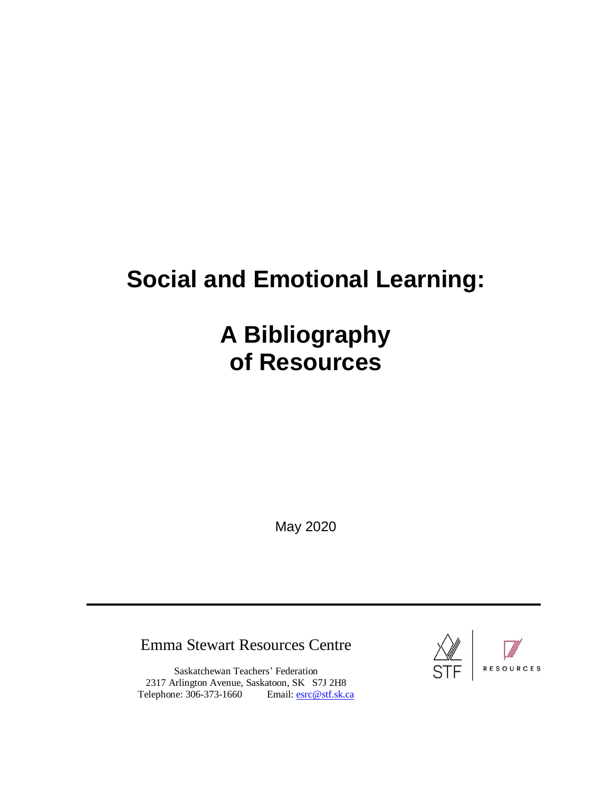# **Social and Emotional Learning:**

# **A Bibliography of Resources**

May 2020

## Emma Stewart Resources Centre

Saskatchewan Teachers' Federation 2317 Arlington Avenue, Saskatoon, SK S7J 2H8 Telephone: 306-373-1660 Email: [esrc@stf.sk.ca](mailto:esrc@stf.sk.ca)



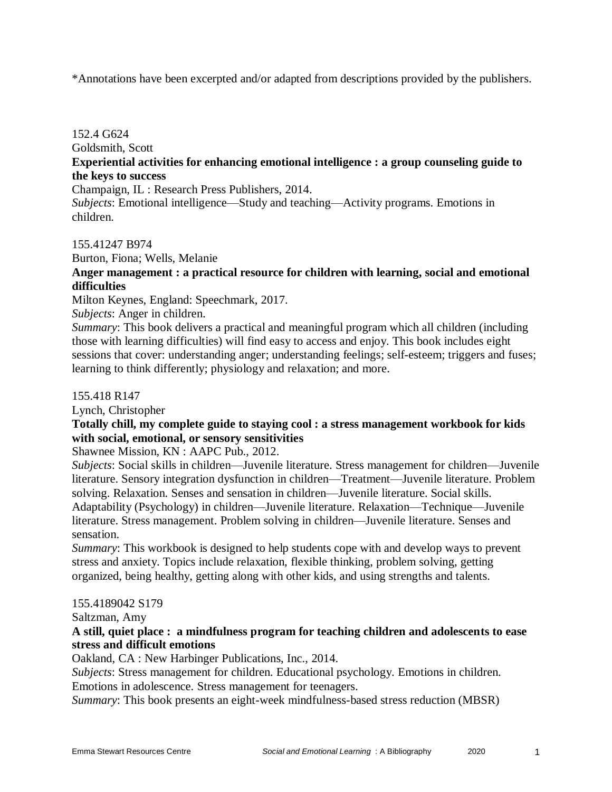\*Annotations have been excerpted and/or adapted from descriptions provided by the publishers.

## 152.4 G624 Goldsmith, Scott **Experiential activities for enhancing emotional intelligence : a group counseling guide to the keys to success**

Champaign, IL : Research Press Publishers, 2014.

*Subjects*: Emotional intelligence—Study and teaching—Activity programs. Emotions in children.

155.41247 B974

Burton, Fiona; Wells, Melanie

## **Anger management : a practical resource for children with learning, social and emotional difficulties**

Milton Keynes, England: Speechmark, 2017.

## *Subjects*: Anger in children.

*Summary*: This book delivers a practical and meaningful program which all children (including those with learning difficulties) will find easy to access and enjoy. This book includes eight sessions that cover: understanding anger; understanding feelings; self-esteem; triggers and fuses; learning to think differently; physiology and relaxation; and more.

#### 155.418 R147

Lynch, Christopher

#### **Totally chill, my complete guide to staying cool : a stress management workbook for kids with social, emotional, or sensory sensitivities**

Shawnee Mission, KN : AAPC Pub., 2012.

*Subjects*: Social skills in children—Juvenile literature. Stress management for children—Juvenile literature. Sensory integration dysfunction in children—Treatment—Juvenile literature. Problem solving. Relaxation. Senses and sensation in children—Juvenile literature. Social skills. Adaptability (Psychology) in children—Juvenile literature. Relaxation—Technique—Juvenile literature. Stress management. Problem solving in children—Juvenile literature. Senses and sensation.

*Summary*: This workbook is designed to help students cope with and develop ways to prevent stress and anxiety. Topics include relaxation, flexible thinking, problem solving, getting organized, being healthy, getting along with other kids, and using strengths and talents.

#### 155.4189042 S179

Saltzman, Amy

#### **A still, quiet place : a mindfulness program for teaching children and adolescents to ease stress and difficult emotions**

Oakland, CA : New Harbinger Publications, Inc., 2014.

*Subjects*: Stress management for children. Educational psychology. Emotions in children. Emotions in adolescence. Stress management for teenagers.

*Summary*: This book presents an eight-week mindfulness-based stress reduction (MBSR)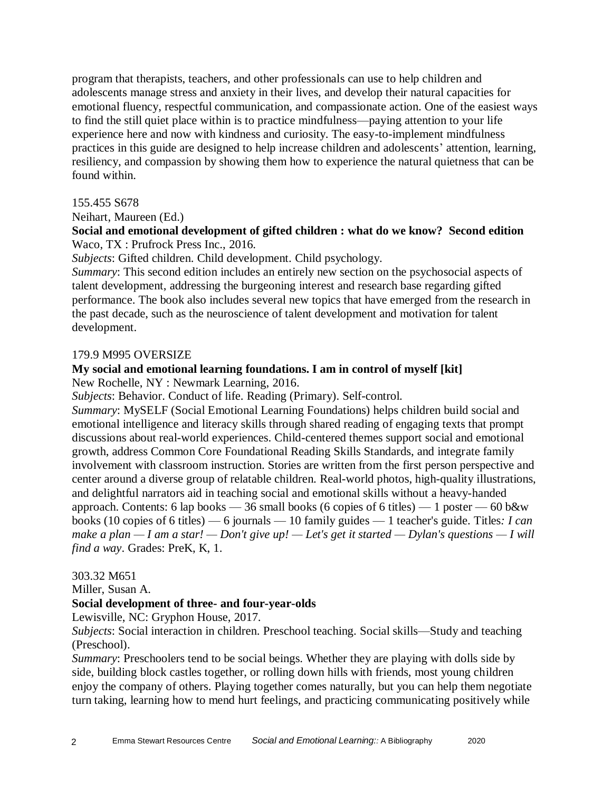program that therapists, teachers, and other professionals can use to help children and adolescents manage stress and anxiety in their lives, and develop their natural capacities for emotional fluency, respectful communication, and compassionate action. One of the easiest ways to find the still quiet place within is to practice mindfulness—paying attention to your life experience here and now with kindness and curiosity. The easy-to-implement mindfulness practices in this guide are designed to help increase children and adolescents' attention, learning, resiliency, and compassion by showing them how to experience the natural quietness that can be found within.

#### 155.455 S678

Neihart, Maureen (Ed.)

## **Social and emotional development of gifted children : what do we know? Second edition** Waco, TX : Prufrock Press Inc., 2016.

*Subjects*: Gifted children. Child development. Child psychology.

*Summary*: This second edition includes an entirely new section on the psychosocial aspects of talent development, addressing the burgeoning interest and research base regarding gifted performance. The book also includes several new topics that have emerged from the research in the past decade, such as the neuroscience of talent development and motivation for talent development.

#### 179.9 M995 OVERSIZE

## **My social and emotional learning foundations. I am in control of myself [kit]**

New Rochelle, NY : Newmark Learning, 2016.

*Subjects*: Behavior. Conduct of life. Reading (Primary). Self-control.

*Summary*: MySELF (Social Emotional Learning Foundations) helps children build social and emotional intelligence and literacy skills through shared reading of engaging texts that prompt discussions about real-world experiences. Child-centered themes support social and emotional growth, address Common Core Foundational Reading Skills Standards, and integrate family involvement with classroom instruction. Stories are written from the first person perspective and center around a diverse group of relatable children. Real-world photos, high-quality illustrations, and delightful narrators aid in teaching social and emotional skills without a heavy-handed approach. Contents: 6 lap books — 36 small books (6 copies of 6 titles) — 1 poster — 60 b&w books (10 copies of 6 titles) — 6 journals — 10 family guides — 1 teacher's guide. Titles*: I can make a plan — I am a star! — Don't give up! — Let's get it started — Dylan's questions — I will find a way*. Grades: PreK, K, 1.

#### 303.32 M651

Miller, Susan A.

#### **Social development of three- and four-year-olds**

Lewisville, NC: Gryphon House, 2017.

*Subjects*: Social interaction in children. Preschool teaching. Social skills—Study and teaching (Preschool).

*Summary*: Preschoolers tend to be social beings. Whether they are playing with dolls side by side, building block castles together, or rolling down hills with friends, most young children enjoy the company of others. Playing together comes naturally, but you can help them negotiate turn taking, learning how to mend hurt feelings, and practicing communicating positively while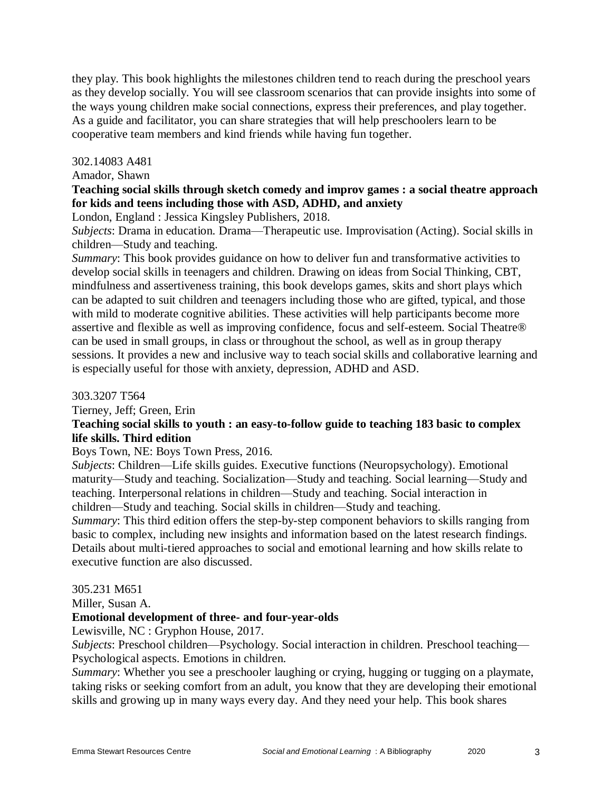they play. This book highlights the milestones children tend to reach during the preschool years as they develop socially. You will see classroom scenarios that can provide insights into some of the ways young children make social connections, express their preferences, and play together. As a guide and facilitator, you can share strategies that will help preschoolers learn to be cooperative team members and kind friends while having fun together.

#### 302.14083 A481

Amador, Shawn

### **Teaching social skills through sketch comedy and improv games : a social theatre approach for kids and teens including those with ASD, ADHD, and anxiety**

London, England : Jessica Kingsley Publishers, 2018.

*Subjects*: Drama in education. Drama—Therapeutic use. Improvisation (Acting). Social skills in children—Study and teaching.

*Summary*: This book provides guidance on how to deliver fun and transformative activities to develop social skills in teenagers and children. Drawing on ideas from Social Thinking, CBT, mindfulness and assertiveness training, this book develops games, skits and short plays which can be adapted to suit children and teenagers including those who are gifted, typical, and those with mild to moderate cognitive abilities. These activities will help participants become more assertive and flexible as well as improving confidence, focus and self-esteem. Social Theatre® can be used in small groups, in class or throughout the school, as well as in group therapy sessions. It provides a new and inclusive way to teach social skills and collaborative learning and is especially useful for those with anxiety, depression, ADHD and ASD.

303.3207 T564

Tierney, Jeff; Green, Erin

## **Teaching social skills to youth : an easy-to-follow guide to teaching 183 basic to complex life skills. Third edition**

Boys Town, NE: Boys Town Press, 2016.

*Subjects*: Children—Life skills guides. Executive functions (Neuropsychology). Emotional maturity—Study and teaching. Socialization—Study and teaching. Social learning—Study and teaching. Interpersonal relations in children—Study and teaching. Social interaction in children—Study and teaching. Social skills in children—Study and teaching.

*Summary*: This third edition offers the step-by-step component behaviors to skills ranging from basic to complex, including new insights and information based on the latest research findings. Details about multi-tiered approaches to social and emotional learning and how skills relate to executive function are also discussed.

#### 305.231 M651

Miller, Susan A.

## **Emotional development of three- and four-year-olds**

Lewisville, NC : Gryphon House, 2017.

*Subjects*: Preschool children—Psychology. Social interaction in children. Preschool teaching— Psychological aspects. Emotions in children.

*Summary*: Whether you see a preschooler laughing or crying, hugging or tugging on a playmate, taking risks or seeking comfort from an adult, you know that they are developing their emotional skills and growing up in many ways every day. And they need your help. This book shares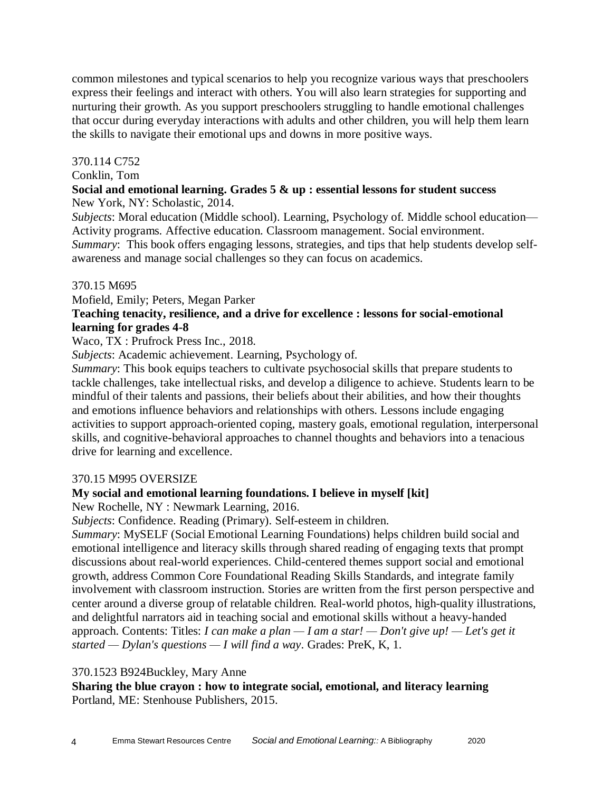common milestones and typical scenarios to help you recognize various ways that preschoolers express their feelings and interact with others. You will also learn strategies for supporting and nurturing their growth. As you support preschoolers struggling to handle emotional challenges that occur during everyday interactions with adults and other children, you will help them learn the skills to navigate their emotional ups and downs in more positive ways.

#### 370.114 C752

#### Conklin, Tom

#### **Social and emotional learning. Grades 5 & up : essential lessons for student success** New York, NY: Scholastic, 2014.

*Subjects*: Moral education (Middle school). Learning, Psychology of. Middle school education— Activity programs. Affective education. Classroom management. Social environment. *Summary*: This book offers engaging lessons, strategies, and tips that help students develop selfawareness and manage social challenges so they can focus on academics.

#### 370.15 M695

Mofield, Emily; Peters, Megan Parker

## **Teaching tenacity, resilience, and a drive for excellence : lessons for social-emotional learning for grades 4-8**

Waco, TX : Prufrock Press Inc., 2018.

*Subjects*: Academic achievement. Learning, Psychology of.

*Summary*: This book equips teachers to cultivate psychosocial skills that prepare students to tackle challenges, take intellectual risks, and develop a diligence to achieve. Students learn to be mindful of their talents and passions, their beliefs about their abilities, and how their thoughts and emotions influence behaviors and relationships with others. Lessons include engaging activities to support approach-oriented coping, mastery goals, emotional regulation, interpersonal skills, and cognitive-behavioral approaches to channel thoughts and behaviors into a tenacious drive for learning and excellence.

#### 370.15 M995 OVERSIZE

#### **My social and emotional learning foundations. I believe in myself [kit]**

New Rochelle, NY : Newmark Learning, 2016.

*Subjects*: Confidence. Reading (Primary). Self-esteem in children.

*Summary*: MySELF (Social Emotional Learning Foundations) helps children build social and emotional intelligence and literacy skills through shared reading of engaging texts that prompt discussions about real-world experiences. Child-centered themes support social and emotional growth, address Common Core Foundational Reading Skills Standards, and integrate family involvement with classroom instruction. Stories are written from the first person perspective and center around a diverse group of relatable children. Real-world photos, high-quality illustrations, and delightful narrators aid in teaching social and emotional skills without a heavy-handed approach. Contents: Titles: *I can make a plan — I am a star! — Don't give up! — Let's get it started — Dylan's questions — I will find a way*. Grades: PreK, K, 1.

#### 370.1523 B924Buckley, Mary Anne

**Sharing the blue crayon : how to integrate social, emotional, and literacy learning** Portland, ME: Stenhouse Publishers, 2015.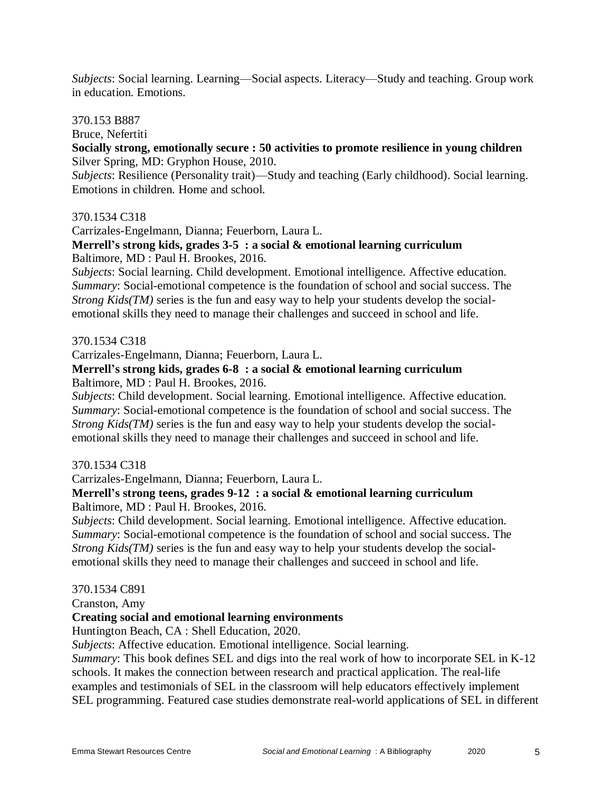*Subjects*: Social learning. Learning—Social aspects. Literacy—Study and teaching. Group work in education. Emotions.

#### 370.153 B887

Bruce, Nefertiti

#### **Socially strong, emotionally secure : 50 activities to promote resilience in young children** Silver Spring, MD: Gryphon House, 2010.

*Subjects*: Resilience (Personality trait)—Study and teaching (Early childhood). Social learning. Emotions in children. Home and school.

#### 370.1534 C318

Carrizales-Engelmann, Dianna; Feuerborn, Laura L.

#### **Merrell's strong kids, grades 3-5 : a social & emotional learning curriculum** Baltimore, MD : Paul H. Brookes, 2016.

*Subjects*: Social learning. Child development. Emotional intelligence. Affective education. *Summary*: Social-emotional competence is the foundation of school and social success. The *Strong Kids(TM)* series is the fun and easy way to help your students develop the socialemotional skills they need to manage their challenges and succeed in school and life.

#### 370.1534 C318

Carrizales-Engelmann, Dianna; Feuerborn, Laura L.

#### **Merrell's strong kids, grades 6-8 : a social & emotional learning curriculum** Baltimore, MD : Paul H. Brookes, 2016.

*Subjects*: Child development. Social learning. Emotional intelligence. Affective education.

*Summary*: Social-emotional competence is the foundation of school and social success. The *Strong Kids(TM)* series is the fun and easy way to help your students develop the socialemotional skills they need to manage their challenges and succeed in school and life.

#### 370.1534 C318

Carrizales-Engelmann, Dianna; Feuerborn, Laura L.

#### **Merrell's strong teens, grades 9-12 : a social & emotional learning curriculum** Baltimore, MD : Paul H. Brookes, 2016.

*Subjects*: Child development. Social learning. Emotional intelligence. Affective education. *Summary*: Social-emotional competence is the foundation of school and social success. The *Strong Kids(TM)* series is the fun and easy way to help your students develop the socialemotional skills they need to manage their challenges and succeed in school and life.

#### 370.1534 C891

Cranston, Amy

## **Creating social and emotional learning environments**

Huntington Beach, CA : Shell Education, 2020.

*Subjects*: Affective education. Emotional intelligence. Social learning.

*Summary*: This book defines SEL and digs into the real work of how to incorporate SEL in K-12 schools. It makes the connection between research and practical application. The real-life examples and testimonials of SEL in the classroom will help educators effectively implement SEL programming. Featured case studies demonstrate real-world applications of SEL in different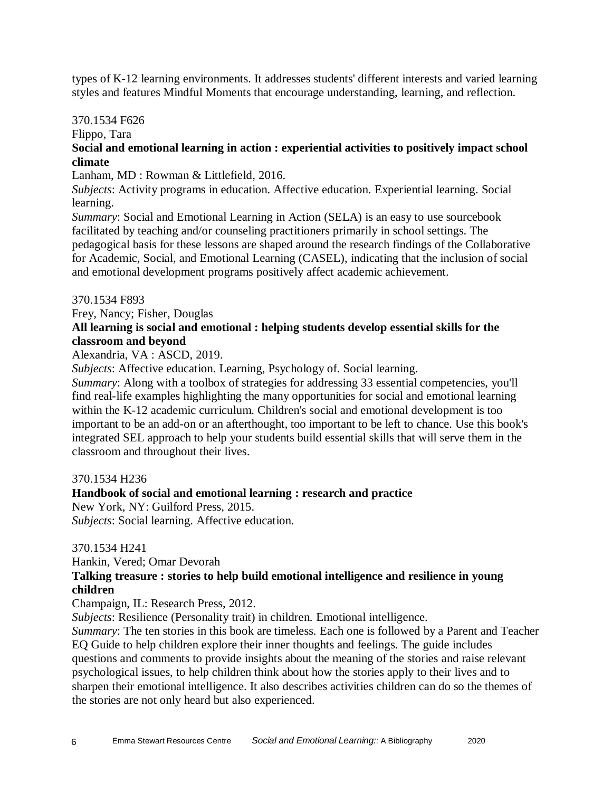types of K-12 learning environments. It addresses students' different interests and varied learning styles and features Mindful Moments that encourage understanding, learning, and reflection.

### 370.1534 F626

Flippo, Tara

## **Social and emotional learning in action : experiential activities to positively impact school climate**

Lanham, MD : Rowman & Littlefield, 2016.

*Subjects*: Activity programs in education. Affective education. Experiential learning. Social learning.

*Summary*: Social and Emotional Learning in Action (SELA) is an easy to use sourcebook facilitated by teaching and/or counseling practitioners primarily in school settings. The pedagogical basis for these lessons are shaped around the research findings of the Collaborative for Academic, Social, and Emotional Learning (CASEL), indicating that the inclusion of social and emotional development programs positively affect academic achievement.

## 370.1534 F893

Frey, Nancy; Fisher, Douglas

## **All learning is social and emotional : helping students develop essential skills for the classroom and beyond**

Alexandria, VA : ASCD, 2019.

*Subjects*: Affective education. Learning, Psychology of. Social learning.

*Summary*: Along with a toolbox of strategies for addressing 33 essential competencies, you'll find real-life examples highlighting the many opportunities for social and emotional learning within the K-12 academic curriculum. Children's social and emotional development is too important to be an add-on or an afterthought, too important to be left to chance. Use this book's integrated SEL approach to help your students build essential skills that will serve them in the classroom and throughout their lives.

## 370.1534 H236

## **Handbook of social and emotional learning : research and practice**

New York, NY: Guilford Press, 2015.

*Subjects*: Social learning. Affective education.

## 370.1534 H241

Hankin, Vered; Omar Devorah

## **Talking treasure : stories to help build emotional intelligence and resilience in young children**

Champaign, IL: Research Press, 2012.

*Subjects*: Resilience (Personality trait) in children. Emotional intelligence.

*Summary*: The ten stories in this book are timeless. Each one is followed by a Parent and Teacher EQ Guide to help children explore their inner thoughts and feelings. The guide includes questions and comments to provide insights about the meaning of the stories and raise relevant psychological issues, to help children think about how the stories apply to their lives and to sharpen their emotional intelligence. It also describes activities children can do so the themes of the stories are not only heard but also experienced.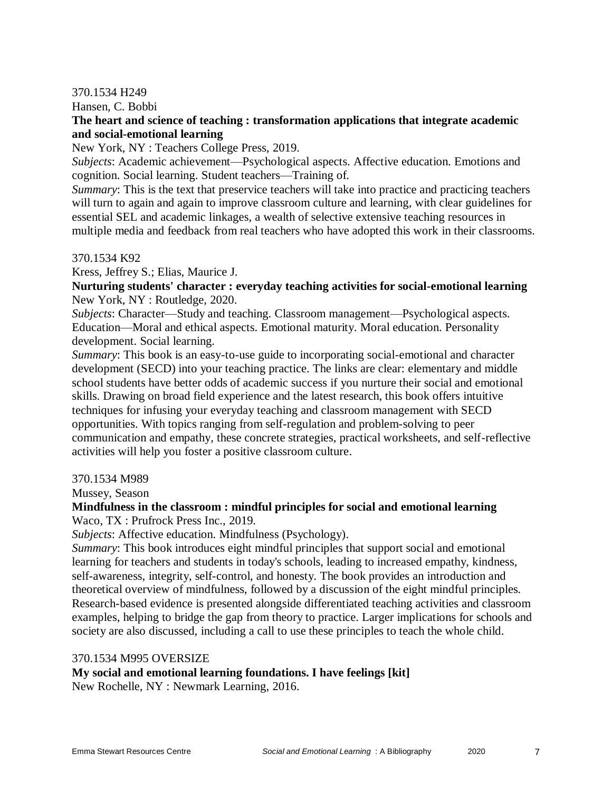#### 370.1534 H249

Hansen, C. Bobbi

#### **The heart and science of teaching : transformation applications that integrate academic and social-emotional learning**

New York, NY : Teachers College Press, 2019.

*Subjects*: Academic achievement—Psychological aspects. Affective education. Emotions and cognition. Social learning. Student teachers—Training of.

*Summary*: This is the text that preservice teachers will take into practice and practicing teachers will turn to again and again to improve classroom culture and learning, with clear guidelines for essential SEL and academic linkages, a wealth of selective extensive teaching resources in multiple media and feedback from real teachers who have adopted this work in their classrooms.

#### 370.1534 K92

Kress, Jeffrey S.; Elias, Maurice J.

**Nurturing students' character : everyday teaching activities for social-emotional learning** New York, NY : Routledge, 2020.

*Subjects*: Character—Study and teaching. Classroom management—Psychological aspects. Education—Moral and ethical aspects. Emotional maturity. Moral education. Personality development. Social learning.

*Summary*: This book is an easy-to-use guide to incorporating social-emotional and character development (SECD) into your teaching practice. The links are clear: elementary and middle school students have better odds of academic success if you nurture their social and emotional skills. Drawing on broad field experience and the latest research, this book offers intuitive techniques for infusing your everyday teaching and classroom management with SECD opportunities. With topics ranging from self-regulation and problem-solving to peer communication and empathy, these concrete strategies, practical worksheets, and self-reflective activities will help you foster a positive classroom culture.

#### 370.1534 M989

Mussey, Season

## **Mindfulness in the classroom : mindful principles for social and emotional learning**

Waco, TX : Prufrock Press Inc., 2019.

*Subjects*: Affective education. Mindfulness (Psychology).

*Summary*: This book introduces eight mindful principles that support social and emotional learning for teachers and students in today's schools, leading to increased empathy, kindness, self-awareness, integrity, self-control, and honesty. The book provides an introduction and theoretical overview of mindfulness, followed by a discussion of the eight mindful principles. Research-based evidence is presented alongside differentiated teaching activities and classroom examples, helping to bridge the gap from theory to practice. Larger implications for schools and society are also discussed, including a call to use these principles to teach the whole child.

#### 370.1534 M995 OVERSIZE

**My social and emotional learning foundations. I have feelings [kit]**

New Rochelle, NY : Newmark Learning, 2016.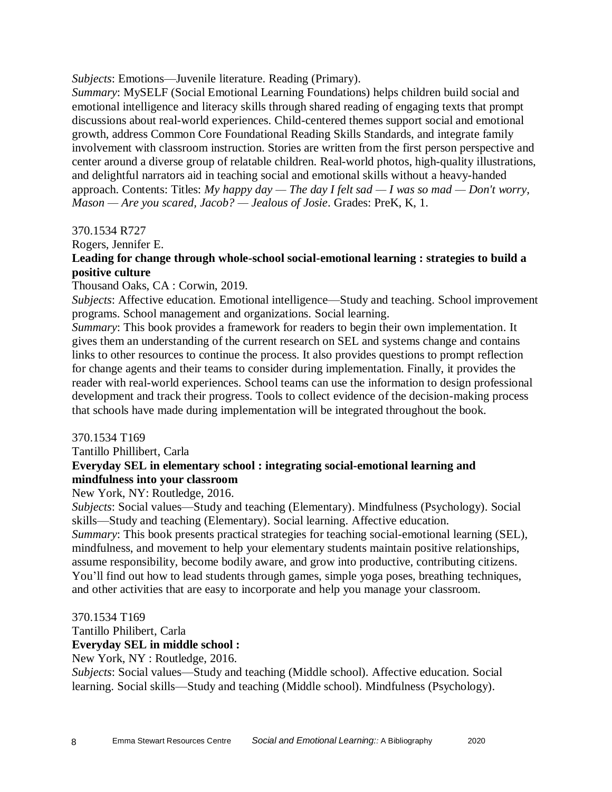#### *Subjects*: Emotions—Juvenile literature. Reading (Primary).

*Summary*: MySELF (Social Emotional Learning Foundations) helps children build social and emotional intelligence and literacy skills through shared reading of engaging texts that prompt discussions about real-world experiences. Child-centered themes support social and emotional growth, address Common Core Foundational Reading Skills Standards, and integrate family involvement with classroom instruction. Stories are written from the first person perspective and center around a diverse group of relatable children. Real-world photos, high-quality illustrations, and delightful narrators aid in teaching social and emotional skills without a heavy-handed approach. Contents: Titles: *My happy day — The day I felt sad — I was so mad — Don't worry, Mason — Are you scared, Jacob? — Jealous of Josie*. Grades: PreK, K, 1.

#### 370.1534 R727

#### Rogers, Jennifer E.

## **Leading for change through whole-school social-emotional learning : strategies to build a positive culture**

#### Thousand Oaks, CA : Corwin, 2019.

*Subjects*: Affective education. Emotional intelligence—Study and teaching. School improvement programs. School management and organizations. Social learning.

*Summary*: This book provides a framework for readers to begin their own implementation. It gives them an understanding of the current research on SEL and systems change and contains links to other resources to continue the process. It also provides questions to prompt reflection for change agents and their teams to consider during implementation. Finally, it provides the reader with real-world experiences. School teams can use the information to design professional development and track their progress. Tools to collect evidence of the decision-making process that schools have made during implementation will be integrated throughout the book.

#### 370.1534 T169

Tantillo Phillibert, Carla **Everyday SEL in elementary school : integrating social-emotional learning and mindfulness into your classroom**

#### New York, NY: Routledge, 2016.

*Subjects*: Social values—Study and teaching (Elementary). Mindfulness (Psychology). Social skills—Study and teaching (Elementary). Social learning. Affective education.

*Summary*: This book presents practical strategies for teaching social-emotional learning (SEL), mindfulness, and movement to help your elementary students maintain positive relationships, assume responsibility, become bodily aware, and grow into productive, contributing citizens. You'll find out how to lead students through games, simple yoga poses, breathing techniques, and other activities that are easy to incorporate and help you manage your classroom.

#### 370.1534 T169

#### Tantillo Philibert, Carla **Everyday SEL in middle school :**

New York, NY : Routledge, 2016.

*Subjects*: Social values—Study and teaching (Middle school). Affective education. Social learning. Social skills—Study and teaching (Middle school). Mindfulness (Psychology).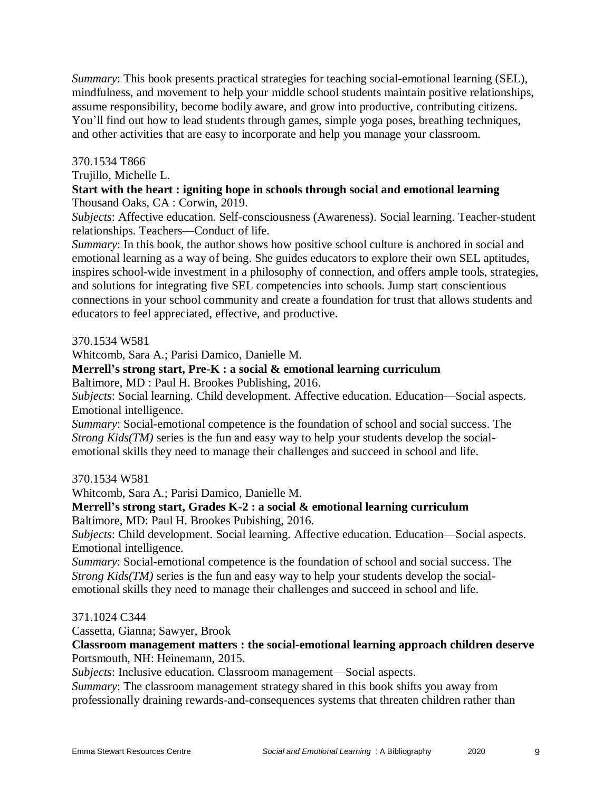*Summary*: This book presents practical strategies for teaching social-emotional learning (SEL), mindfulness, and movement to help your middle school students maintain positive relationships, assume responsibility, become bodily aware, and grow into productive, contributing citizens. You'll find out how to lead students through games, simple yoga poses, breathing techniques, and other activities that are easy to incorporate and help you manage your classroom.

### 370.1534 T866

Trujillo, Michelle L.

#### **Start with the heart : igniting hope in schools through social and emotional learning** Thousand Oaks, CA : Corwin, 2019.

*Subjects*: Affective education. Self-consciousness (Awareness). Social learning. Teacher-student relationships. Teachers—Conduct of life.

*Summary*: In this book, the author shows how positive school culture is anchored in social and emotional learning as a way of being. She guides educators to explore their own SEL aptitudes, inspires school-wide investment in a philosophy of connection, and offers ample tools, strategies, and solutions for integrating five SEL competencies into schools. Jump start conscientious connections in your school community and create a foundation for trust that allows students and educators to feel appreciated, effective, and productive.

370.1534 W581

Whitcomb, Sara A.; Parisi Damico, Danielle M.

## **Merrell's strong start, Pre-K : a social & emotional learning curriculum**

Baltimore, MD : Paul H. Brookes Publishing, 2016.

*Subjects*: Social learning. Child development. Affective education. Education—Social aspects. Emotional intelligence.

*Summary*: Social-emotional competence is the foundation of school and social success. The *Strong Kids(TM)* series is the fun and easy way to help your students develop the socialemotional skills they need to manage their challenges and succeed in school and life.

## 370.1534 W581

Whitcomb, Sara A.; Parisi Damico, Danielle M.

**Merrell's strong start, Grades K-2 : a social & emotional learning curriculum** Baltimore, MD: Paul H. Brookes Pubishing, 2016.

*Subjects*: Child development. Social learning. Affective education. Education—Social aspects. Emotional intelligence.

*Summary*: Social-emotional competence is the foundation of school and social success. The *Strong Kids(TM)* series is the fun and easy way to help your students develop the socialemotional skills they need to manage their challenges and succeed in school and life.

#### 371.1024 C344

Cassetta, Gianna; Sawyer, Brook

**Classroom management matters : the social-emotional learning approach children deserve** Portsmouth, NH: Heinemann, 2015.

*Subjects*: Inclusive education. Classroom management—Social aspects.

*Summary*: The classroom management strategy shared in this book shifts you away from professionally draining rewards-and-consequences systems that threaten children rather than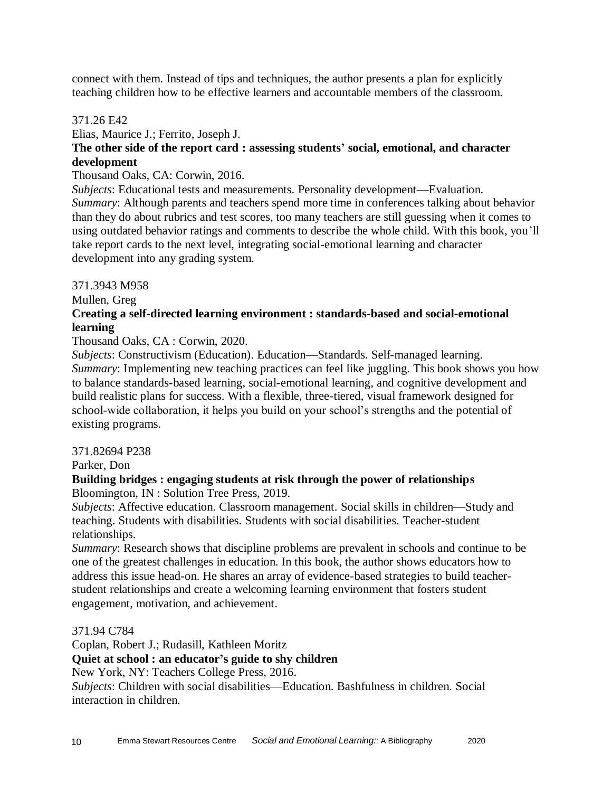connect with them. Instead of tips and techniques, the author presents a plan for explicitly teaching children how to be effective learners and accountable members of the classroom.

#### 371.26 E42

Elias, Maurice J.; Ferrito, Joseph J.

## **The other side of the report card : assessing students' social, emotional, and character development**

#### Thousand Oaks, CA: Corwin, 2016.

*Subjects*: Educational tests and measurements. Personality development—Evaluation. *Summary*: Although parents and teachers spend more time in conferences talking about behavior than they do about rubrics and test scores, too many teachers are still guessing when it comes to using outdated behavior ratings and comments to describe the whole child. With this book, you'll take report cards to the next level, integrating social-emotional learning and character development into any grading system.

#### 371.3943 M958

Mullen, Greg

## **Creating a self-directed learning environment : standards-based and social-emotional learning**

Thousand Oaks, CA : Corwin, 2020.

*Subjects*: Constructivism (Education). Education—Standards. Self-managed learning. *Summary*: Implementing new teaching practices can feel like juggling. This book shows you how to balance standards-based learning, social-emotional learning, and cognitive development and build realistic plans for success. With a flexible, three-tiered, visual framework designed for school-wide collaboration, it helps you build on your school's strengths and the potential of existing programs.

#### 371.82694 P238

Parker, Don

#### **Building bridges : engaging students at risk through the power of relationships** Bloomington, IN : Solution Tree Press, 2019.

*Subjects*: Affective education. Classroom management. Social skills in children—Study and teaching. Students with disabilities. Students with social disabilities. Teacher-student relationships.

*Summary*: Research shows that discipline problems are prevalent in schools and continue to be one of the greatest challenges in education. In this book, the author shows educators how to address this issue head-on. He shares an array of evidence-based strategies to build teacherstudent relationships and create a welcoming learning environment that fosters student engagement, motivation, and achievement.

371.94 C784

Coplan, Robert J.; Rudasill, Kathleen Moritz

#### **Quiet at school : an educator's guide to shy children**

New York, NY: Teachers College Press, 2016.

*Subjects*: Children with social disabilities—Education. Bashfulness in children. Social interaction in children.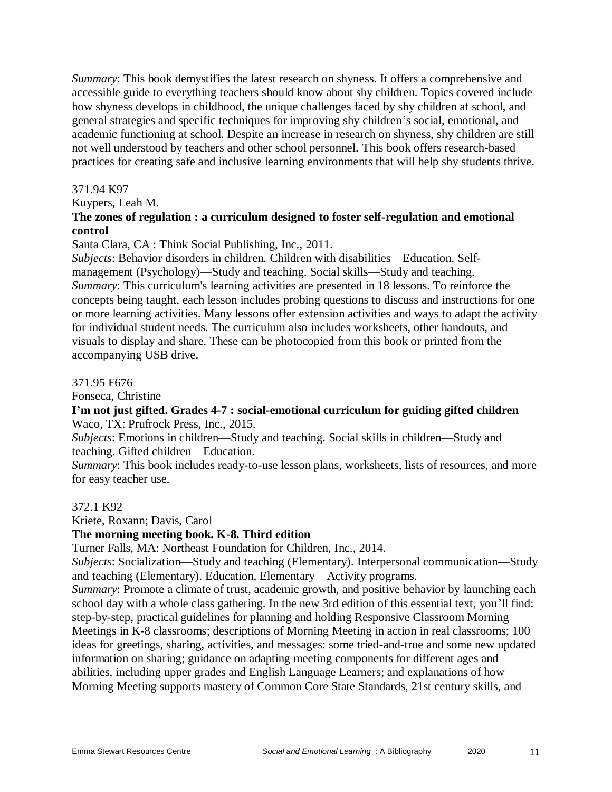*Summary*: This book demystifies the latest research on shyness. It offers a comprehensive and accessible guide to everything teachers should know about shy children. Topics covered include how shyness develops in childhood, the unique challenges faced by shy children at school, and general strategies and specific techniques for improving shy children's social, emotional, and academic functioning at school. Despite an increase in research on shyness, shy children are still not well understood by teachers and other school personnel. This book offers research-based practices for creating safe and inclusive learning environments that will help shy students thrive.

#### 371.94 K97

Kuypers, Leah M.

### **The zones of regulation : a curriculum designed to foster self-regulation and emotional control**

Santa Clara, CA : Think Social Publishing, Inc., 2011.

*Subjects*: Behavior disorders in children. Children with disabilities—Education. Selfmanagement (Psychology)—Study and teaching. Social skills—Study and teaching. *Summary*: This curriculum's learning activities are presented in 18 lessons. To reinforce the concepts being taught, each lesson includes probing questions to discuss and instructions for one or more learning activities. Many lessons offer extension activities and ways to adapt the activity for individual student needs. The curriculum also includes worksheets, other handouts, and visuals to display and share. These can be photocopied from this book or printed from the accompanying USB drive.

#### 371.95 F676

Fonseca, Christine

#### **I'm not just gifted. Grades 4-7 : social-emotional curriculum for guiding gifted children** Waco, TX: Prufrock Press, Inc., 2015.

*Subjects*: Emotions in children—Study and teaching. Social skills in children—Study and teaching. Gifted children—Education.

*Summary*: This book includes ready-to-use lesson plans, worksheets, lists of resources, and more for easy teacher use.

#### 372.1 K92

Kriete, Roxann; Davis, Carol

#### **The morning meeting book. K-8. Third edition**

Turner Falls, MA: Northeast Foundation for Children, Inc., 2014.

*Subjects*: Socialization—Study and teaching (Elementary). Interpersonal communication—Study and teaching (Elementary). Education, Elementary—Activity programs.

*Summary*: Promote a climate of trust, academic growth, and positive behavior by launching each school day with a whole class gathering. In the new 3rd edition of this essential text, you'll find: step-by-step, practical guidelines for planning and holding Responsive Classroom Morning Meetings in K-8 classrooms; descriptions of Morning Meeting in action in real classrooms; 100 ideas for greetings, sharing, activities, and messages: some tried-and-true and some new updated information on sharing; guidance on adapting meeting components for different ages and abilities, including upper grades and English Language Learners; and explanations of how Morning Meeting supports mastery of Common Core State Standards, 21st century skills, and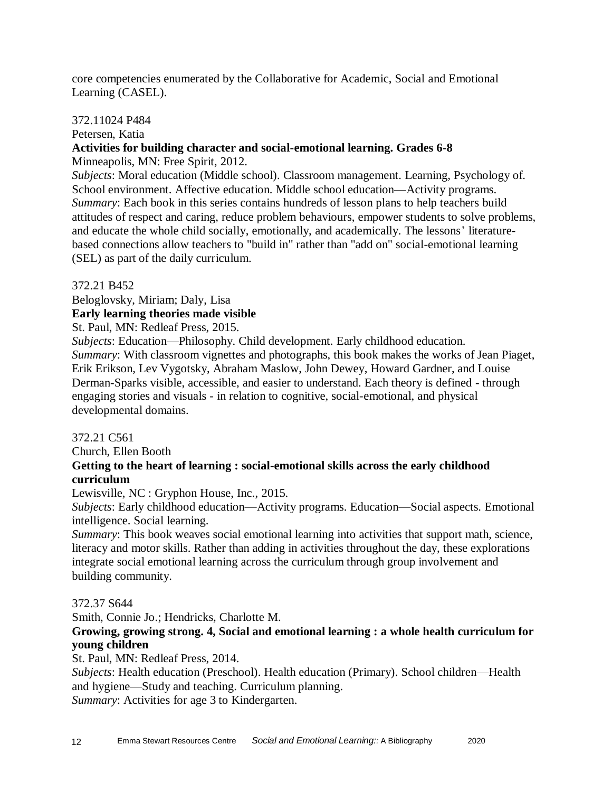core competencies enumerated by the Collaborative for Academic, Social and Emotional Learning (CASEL).

#### 372.11024 P484

Petersen, Katia

## **Activities for building character and social-emotional learning. Grades 6-8**

Minneapolis, MN: Free Spirit, 2012.

*Subjects*: Moral education (Middle school). Classroom management. Learning, Psychology of. School environment. Affective education. Middle school education—Activity programs. *Summary*: Each book in this series contains hundreds of lesson plans to help teachers build attitudes of respect and caring, reduce problem behaviours, empower students to solve problems, and educate the whole child socially, emotionally, and academically. The lessons' literaturebased connections allow teachers to "build in" rather than "add on" social-emotional learning (SEL) as part of the daily curriculum.

#### 372.21 B452

Beloglovsky, Miriam; Daly, Lisa

## **Early learning theories made visible**

St. Paul, MN: Redleaf Press, 2015.

*Subjects*: Education—Philosophy. Child development. Early childhood education. *Summary*: With classroom vignettes and photographs, this book makes the works of Jean Piaget, Erik Erikson, Lev Vygotsky, Abraham Maslow, John Dewey, Howard Gardner, and Louise Derman-Sparks visible, accessible, and easier to understand. Each theory is defined - through engaging stories and visuals - in relation to cognitive, social-emotional, and physical developmental domains.

#### 372.21 C561

Church, Ellen Booth

## **Getting to the heart of learning : social-emotional skills across the early childhood curriculum**

Lewisville, NC : Gryphon House, Inc., 2015.

*Subjects*: Early childhood education—Activity programs. Education—Social aspects. Emotional intelligence. Social learning.

*Summary*: This book weaves social emotional learning into activities that support math, science, literacy and motor skills. Rather than adding in activities throughout the day, these explorations integrate social emotional learning across the curriculum through group involvement and building community.

#### 372.37 S644

Smith, Connie Jo.; Hendricks, Charlotte M.

**Growing, growing strong. 4, Social and emotional learning : a whole health curriculum for young children**

St. Paul, MN: Redleaf Press, 2014.

*Subjects*: Health education (Preschool). Health education (Primary). School children—Health and hygiene—Study and teaching. Curriculum planning.

*Summary*: Activities for age 3 to Kindergarten.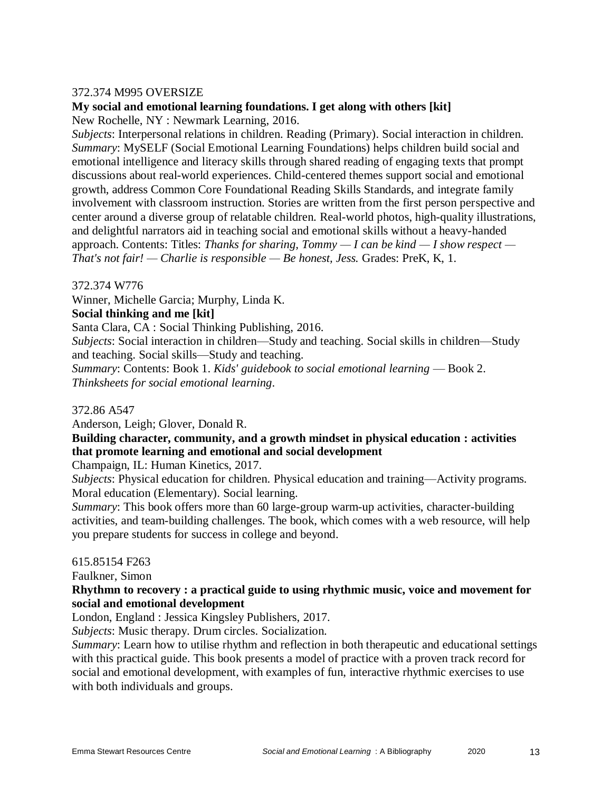#### 372.374 M995 OVERSIZE

## **My social and emotional learning foundations. I get along with others [kit]**

New Rochelle, NY : Newmark Learning, 2016.

*Subjects*: Interpersonal relations in children. Reading (Primary). Social interaction in children. *Summary*: MySELF (Social Emotional Learning Foundations) helps children build social and emotional intelligence and literacy skills through shared reading of engaging texts that prompt discussions about real-world experiences. Child-centered themes support social and emotional growth, address Common Core Foundational Reading Skills Standards, and integrate family involvement with classroom instruction. Stories are written from the first person perspective and center around a diverse group of relatable children. Real-world photos, high-quality illustrations, and delightful narrators aid in teaching social and emotional skills without a heavy-handed approach. Contents: Titles: *Thanks for sharing, Tommy — I can be kind — I show respect — That's not fair! — Charlie is responsible — Be honest, Jess.* Grades: PreK, K, 1.

372.374 W776

Winner, Michelle Garcia; Murphy, Linda K.

#### **Social thinking and me [kit]**

Santa Clara, CA : Social Thinking Publishing, 2016.

*Subjects*: Social interaction in children—Study and teaching. Social skills in children—Study and teaching. Social skills—Study and teaching.

*Summary*: Contents: Book 1. *Kids' guidebook to social emotional learning* — Book 2. *Thinksheets for social emotional learning*.

372.86 A547

Anderson, Leigh; Glover, Donald R.

## **Building character, community, and a growth mindset in physical education : activities that promote learning and emotional and social development**

Champaign, IL: Human Kinetics, 2017.

*Subjects*: Physical education for children. Physical education and training—Activity programs. Moral education (Elementary). Social learning.

*Summary*: This book offers more than 60 large-group warm-up activities, character-building activities, and team-building challenges. The book, which comes with a web resource, will help you prepare students for success in college and beyond.

#### 615.85154 F263

Faulkner, Simon

#### **Rhythmn to recovery : a practical guide to using rhythmic music, voice and movement for social and emotional development**

London, England : Jessica Kingsley Publishers, 2017.

*Subjects*: Music therapy. Drum circles. Socialization.

*Summary*: Learn how to utilise rhythm and reflection in both therapeutic and educational settings with this practical guide. This book presents a model of practice with a proven track record for social and emotional development, with examples of fun, interactive rhythmic exercises to use with both individuals and groups.